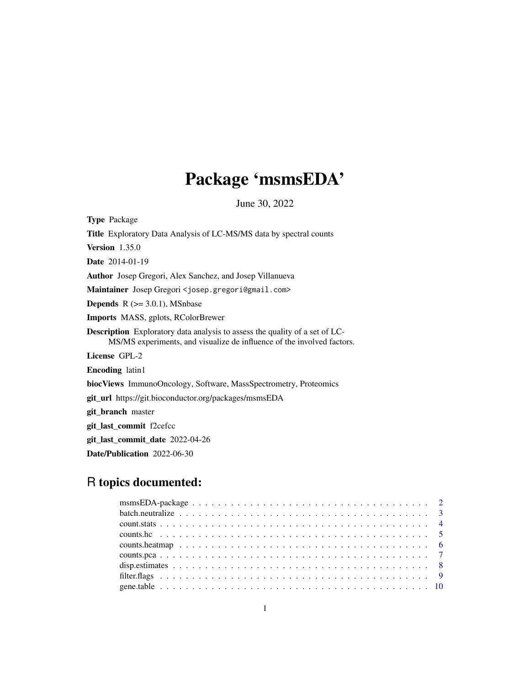# Package 'msmsEDA'

June 30, 2022

<span id="page-0-0"></span>Type Package Title Exploratory Data Analysis of LC-MS/MS data by spectral counts Version 1.35.0 Date 2014-01-19 Author Josep Gregori, Alex Sanchez, and Josep Villanueva Maintainer Josep Gregori <josep.gregori@gmail.com> **Depends**  $R$  ( $>= 3.0.1$ ), MSnbase Imports MASS, gplots, RColorBrewer Description Exploratory data analysis to assess the quality of a set of LC-MS/MS experiments, and visualize de influence of the involved factors. License GPL-2 Encoding latin1 biocViews ImmunoOncology, Software, MassSpectrometry, Proteomics git\_url https://git.bioconductor.org/packages/msmsEDA git\_branch master git\_last\_commit f2cefcc git\_last\_commit\_date 2022-04-26

Date/Publication 2022-06-30

# R topics documented: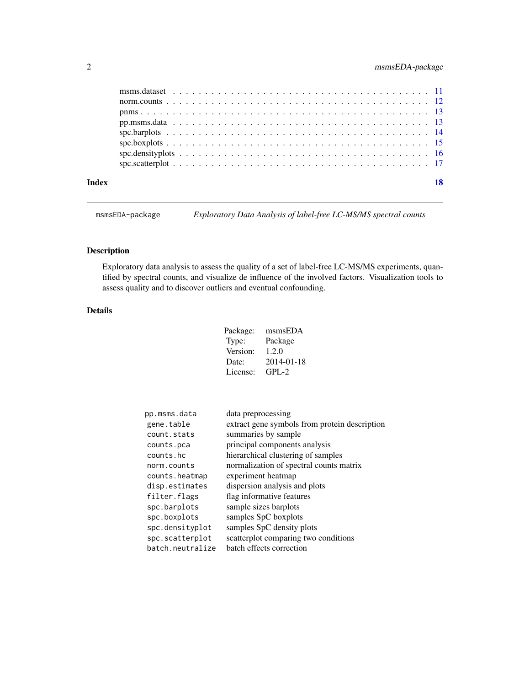<span id="page-1-0"></span>

| Index |  | 18 |
|-------|--|----|
|       |  |    |
|       |  |    |
|       |  |    |
|       |  |    |
|       |  |    |
|       |  |    |
|       |  |    |
|       |  |    |

msmsEDA-package *Exploratory Data Analysis of label-free LC-MS/MS spectral counts*

# Description

Exploratory data analysis to assess the quality of a set of label-free LC-MS/MS experiments, quantified by spectral counts, and visualize de influence of the involved factors. Visualization tools to assess quality and to discover outliers and eventual confounding.

# Details

| Package: | msmsEDA    |
|----------|------------|
| Type:    | Package    |
| Version: | 1.2.0      |
| Date:    | 2014-01-18 |
| License: | $GPI - 2$  |

| pp.msms.data     | data preprocessing                            |
|------------------|-----------------------------------------------|
| gene.table       | extract gene symbols from protein description |
| count.stats      | summaries by sample                           |
| counts.pca       | principal components analysis                 |
| counts.hc        | hierarchical clustering of samples            |
| norm.counts      | normalization of spectral counts matrix       |
| counts.heatmap   | experiment heatmap                            |
| disp.estimates   | dispersion analysis and plots                 |
| filter.flags     | flag informative features                     |
| spc.barplots     | sample sizes barplots                         |
| spc.boxplots     | samples SpC boxplots                          |
| spc.densityplot  | samples SpC density plots                     |
| spc.scatterplot  | scatterplot comparing two conditions          |
| batch.neutralize | batch effects correction                      |
|                  |                                               |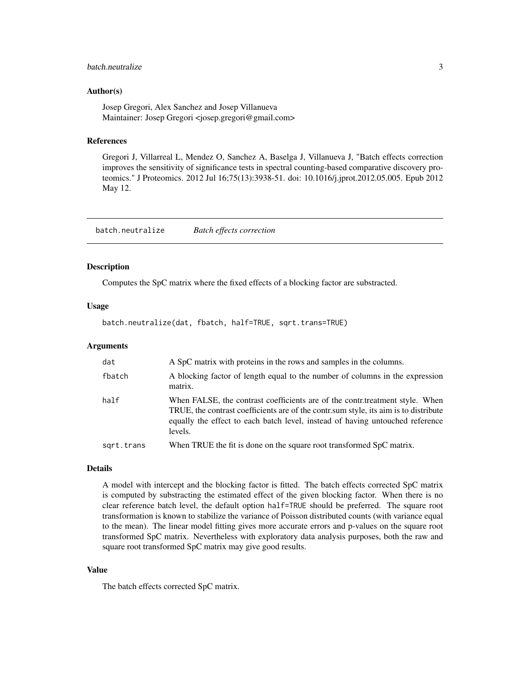# <span id="page-2-0"></span>batch.neutralize 3

#### Author(s)

Josep Gregori, Alex Sanchez and Josep Villanueva Maintainer: Josep Gregori <josep.gregori@gmail.com>

#### References

Gregori J, Villarreal L, Mendez O, Sanchez A, Baselga J, Villanueva J, "Batch effects correction improves the sensitivity of significance tests in spectral counting-based comparative discovery proteomics." J Proteomics. 2012 Jul 16;75(13):3938-51. doi: 10.1016/j.jprot.2012.05.005. Epub 2012 May 12.

batch.neutralize *Batch effects correction*

#### Description

Computes the SpC matrix where the fixed effects of a blocking factor are substracted.

#### Usage

batch.neutralize(dat, fbatch, half=TRUE, sqrt.trans=TRUE)

#### Arguments

| dat        | A SpC matrix with proteins in the rows and samples in the columns.                                                                                                                                                                                               |
|------------|------------------------------------------------------------------------------------------------------------------------------------------------------------------------------------------------------------------------------------------------------------------|
| fbatch     | A blocking factor of length equal to the number of columns in the expression<br>matrix.                                                                                                                                                                          |
| half       | When FALSE, the contrast coefficients are of the contr.treatment style. When<br>TRUE, the contrast coefficients are of the contr.sum style, its aim is to distribute<br>equally the effect to each batch level, instead of having untouched reference<br>levels. |
| sqrt.trans | When TRUE the fit is done on the square root transformed SpC matrix.                                                                                                                                                                                             |

#### Details

A model with intercept and the blocking factor is fitted. The batch effects corrected SpC matrix is computed by substracting the estimated effect of the given blocking factor. When there is no clear reference batch level, the default option half=TRUE should be preferred. The square root transformation is known to stabilize the variance of Poisson distributed counts (with variance equal to the mean). The linear model fitting gives more accurate errors and p-values on the square root transformed SpC matrix. Nevertheless with exploratory data analysis purposes, both the raw and square root transformed SpC matrix may give good results.

#### Value

The batch effects corrected SpC matrix.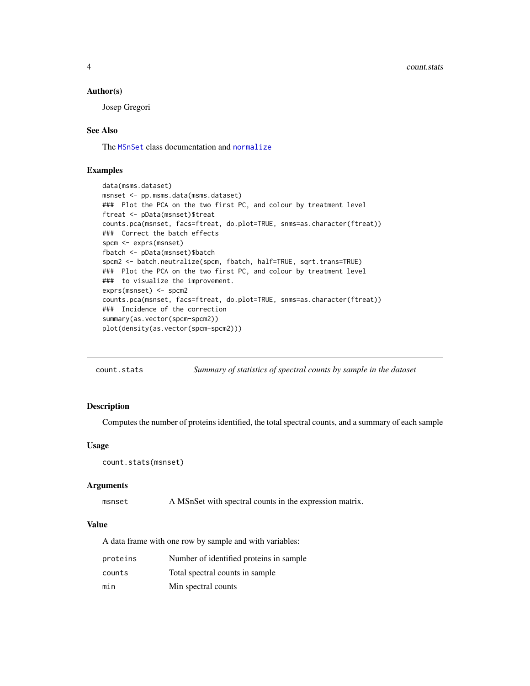#### <span id="page-3-0"></span>Author(s)

Josep Gregori

# See Also

The [MSnSet](#page-0-0) class documentation and [normalize](#page-0-0)

#### Examples

```
data(msms.dataset)
msnset <- pp.msms.data(msms.dataset)
### Plot the PCA on the two first PC, and colour by treatment level
ftreat <- pData(msnset)$treat
counts.pca(msnset, facs=ftreat, do.plot=TRUE, snms=as.character(ftreat))
### Correct the batch effects
spcm <- exprs(msnset)
fbatch <- pData(msnset)$batch
spcm2 <- batch.neutralize(spcm, fbatch, half=TRUE, sqrt.trans=TRUE)
### Plot the PCA on the two first PC, and colour by treatment level
### to visualize the improvement.
exprs(msnset) <- spcm2
counts.pca(msnset, facs=ftreat, do.plot=TRUE, snms=as.character(ftreat))
### Incidence of the correction
summary(as.vector(spcm-spcm2))
plot(density(as.vector(spcm-spcm2)))
```

| count.stats | Summary of statistics of spectral counts by sample in the dataset |
|-------------|-------------------------------------------------------------------|
|             |                                                                   |

#### Description

Computes the number of proteins identified, the total spectral counts, and a summary of each sample

#### Usage

```
count.stats(msnset)
```
#### Arguments

msnset A MSnSet with spectral counts in the expression matrix.

# Value

A data frame with one row by sample and with variables:

| proteins | Number of identified proteins in sample. |
|----------|------------------------------------------|
| counts   | Total spectral counts in sample          |
| min      | Min spectral counts                      |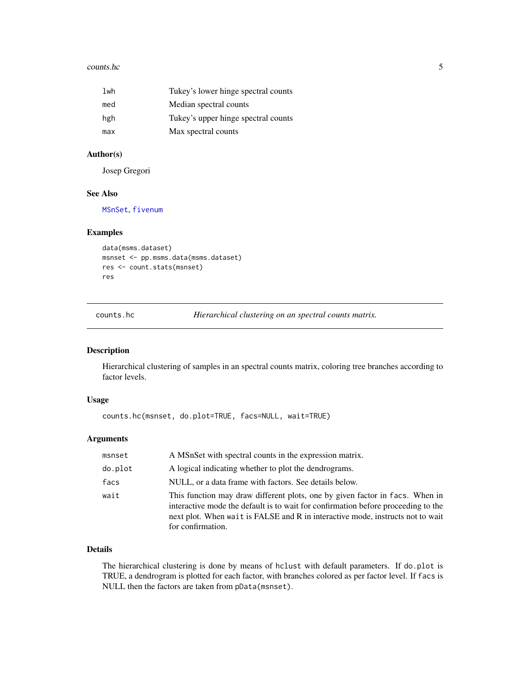#### <span id="page-4-0"></span>counts.hc 5

| lwh | Tukey's lower hinge spectral counts |
|-----|-------------------------------------|
| med | Median spectral counts              |
| hgh | Tukey's upper hinge spectral counts |
| max | Max spectral counts                 |

# Author(s)

Josep Gregori

#### See Also

[MSnSet](#page-0-0), [fivenum](#page-0-0)

#### Examples

```
data(msms.dataset)
msnset <- pp.msms.data(msms.dataset)
res <- count.stats(msnset)
res
```
counts.hc *Hierarchical clustering on an spectral counts matrix.*

# Description

Hierarchical clustering of samples in an spectral counts matrix, coloring tree branches according to factor levels.

# Usage

```
counts.hc(msnset, do.plot=TRUE, facs=NULL, wait=TRUE)
```
#### Arguments

| msnset  | A MSnSet with spectral counts in the expression matrix.                                                                                                                                                                                                                  |
|---------|--------------------------------------------------------------------------------------------------------------------------------------------------------------------------------------------------------------------------------------------------------------------------|
| do.plot | A logical indicating whether to plot the dendrograms.                                                                                                                                                                                                                    |
| facs    | NULL, or a data frame with factors. See details below.                                                                                                                                                                                                                   |
| wait    | This function may draw different plots, one by given factor in facs. When in<br>interactive mode the default is to wait for confirmation before proceeding to the<br>next plot. When wait is FALSE and R in interactive mode, instructs not to wait<br>for confirmation. |

# Details

The hierarchical clustering is done by means of hclust with default parameters. If do.plot is TRUE, a dendrogram is plotted for each factor, with branches colored as per factor level. If facs is NULL then the factors are taken from pData(msnset).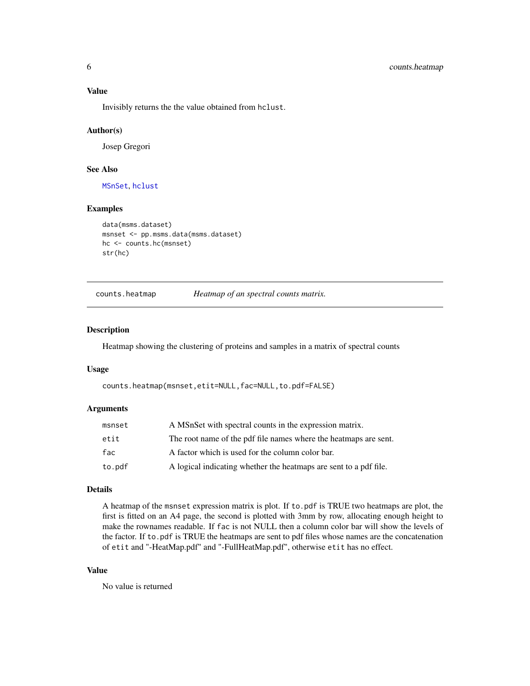#### <span id="page-5-0"></span>Value

Invisibly returns the the value obtained from hclust.

#### Author(s)

Josep Gregori

# See Also

[MSnSet](#page-0-0), [hclust](#page-0-0)

# Examples

```
data(msms.dataset)
msnset <- pp.msms.data(msms.dataset)
hc <- counts.hc(msnset)
str(hc)
```
counts.heatmap *Heatmap of an spectral counts matrix.*

# Description

Heatmap showing the clustering of proteins and samples in a matrix of spectral counts

#### Usage

counts.heatmap(msnset,etit=NULL,fac=NULL,to.pdf=FALSE)

#### Arguments

| msnset | A MSnSet with spectral counts in the expression matrix.           |
|--------|-------------------------------------------------------------------|
| etit   | The root name of the pdf file names where the heatmaps are sent.  |
| fac    | A factor which is used for the column color bar.                  |
| to.pdf | A logical indicating whether the heatmaps are sent to a pdf file. |

#### Details

A heatmap of the msnset expression matrix is plot. If to.pdf is TRUE two heatmaps are plot, the first is fitted on an A4 page, the second is plotted with 3mm by row, allocating enough height to make the rownames readable. If fac is not NULL then a column color bar will show the levels of the factor. If to.pdf is TRUE the heatmaps are sent to pdf files whose names are the concatenation of etit and "-HeatMap.pdf" and "-FullHeatMap.pdf", otherwise etit has no effect.

### Value

No value is returned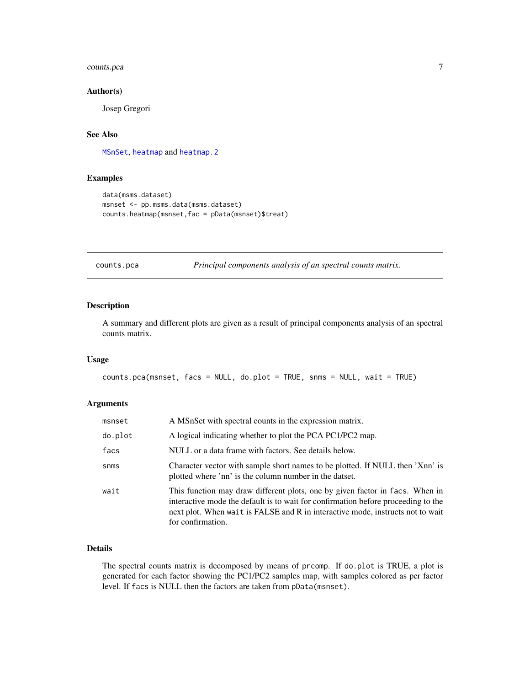# <span id="page-6-0"></span>counts.pca 7

#### Author(s)

Josep Gregori

# See Also

[MSnSet](#page-0-0), [heatmap](#page-0-0) and [heatmap.2](#page-0-0)

#### Examples

```
data(msms.dataset)
msnset <- pp.msms.data(msms.dataset)
counts.heatmap(msnset,fac = pData(msnset)$treat)
```
counts.pca *Principal components analysis of an spectral counts matrix.*

# Description

A summary and different plots are given as a result of principal components analysis of an spectral counts matrix.

#### Usage

counts.pca(msnset, facs = NULL, do.plot = TRUE, snms = NULL, wait = TRUE)

#### Arguments

| msnset  | A MSnSet with spectral counts in the expression matrix.                                                                                                                                                                                                                  |
|---------|--------------------------------------------------------------------------------------------------------------------------------------------------------------------------------------------------------------------------------------------------------------------------|
| do.plot | A logical indicating whether to plot the PCA PC1/PC2 map.                                                                                                                                                                                                                |
| facs    | NULL or a data frame with factors. See details below.                                                                                                                                                                                                                    |
| snms    | Character vector with sample short names to be plotted. If NULL then 'Xnn' is<br>plotted where 'nn' is the column number in the datset.                                                                                                                                  |
| wait    | This function may draw different plots, one by given factor in facs. When in<br>interactive mode the default is to wait for confirmation before proceeding to the<br>next plot. When wait is FALSE and R in interactive mode, instructs not to wait<br>for confirmation. |

### Details

The spectral counts matrix is decomposed by means of prcomp. If do.plot is TRUE, a plot is generated for each factor showing the PC1/PC2 samples map, with samples colored as per factor level. If facs is NULL then the factors are taken from pData(msnset).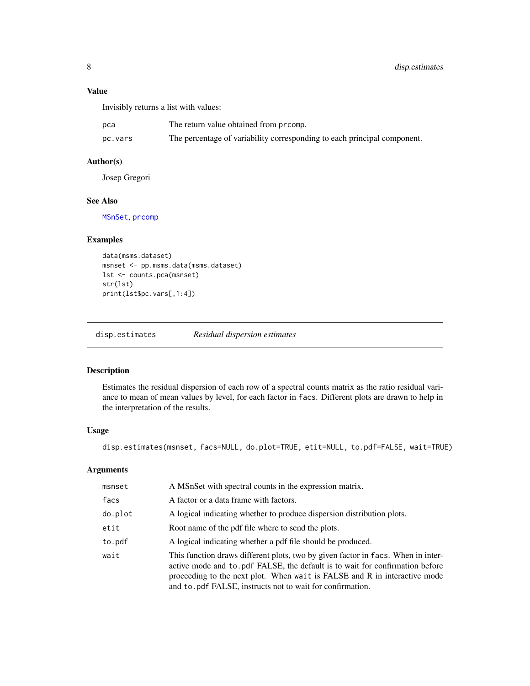# <span id="page-7-0"></span>Value

Invisibly returns a list with values:

| рса     | The return value obtained from prcomp.                                   |
|---------|--------------------------------------------------------------------------|
| pc.vars | The percentage of variability corresponding to each principal component. |

# Author(s)

Josep Gregori

# See Also

[MSnSet](#page-0-0), [prcomp](#page-0-0)

# Examples

```
data(msms.dataset)
msnset <- pp.msms.data(msms.dataset)
lst <- counts.pca(msnset)
str(lst)
print(lst$pc.vars[,1:4])
```
disp.estimates *Residual dispersion estimates*

# Description

Estimates the residual dispersion of each row of a spectral counts matrix as the ratio residual variance to mean of mean values by level, for each factor in facs. Different plots are drawn to help in the interpretation of the results.

### Usage

disp.estimates(msnset, facs=NULL, do.plot=TRUE, etit=NULL, to.pdf=FALSE, wait=TRUE)

# Arguments

| msnset  | A MSnSet with spectral counts in the expression matrix.                                                                                                                                                                                                                                                     |
|---------|-------------------------------------------------------------------------------------------------------------------------------------------------------------------------------------------------------------------------------------------------------------------------------------------------------------|
| facs    | A factor or a data frame with factors.                                                                                                                                                                                                                                                                      |
| do.plot | A logical indicating whether to produce dispersion distribution plots.                                                                                                                                                                                                                                      |
| etit    | Root name of the pdf file where to send the plots.                                                                                                                                                                                                                                                          |
| to.pdf  | A logical indicating whether a pdf file should be produced.                                                                                                                                                                                                                                                 |
| wait    | This function draws different plots, two by given factor in facs. When in inter-<br>active mode and to .pdf FALSE, the default is to wait for confirmation before<br>proceeding to the next plot. When wait is FALSE and R in interactive mode<br>and to pdf FALSE, instructs not to wait for confirmation. |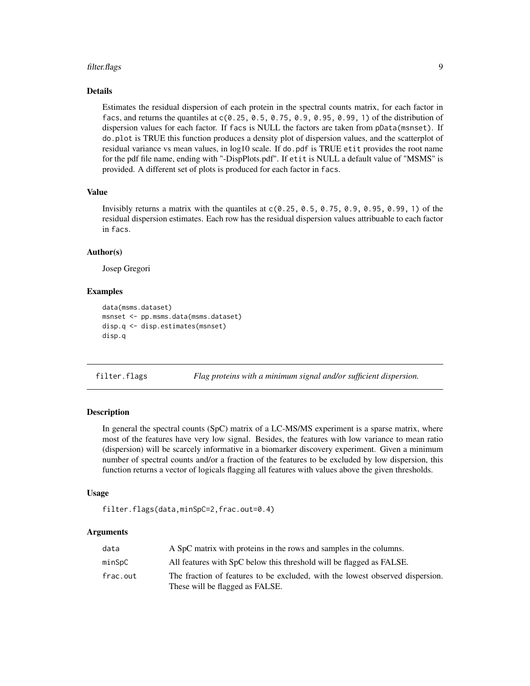#### <span id="page-8-0"></span>filter.flags 9

#### Details

Estimates the residual dispersion of each protein in the spectral counts matrix, for each factor in facs, and returns the quantiles at  $c(0.25, 0.5, 0.75, 0.9, 0.95, 0.99, 1)$  of the distribution of dispersion values for each factor. If facs is NULL the factors are taken from pData(msnset). If do.plot is TRUE this function produces a density plot of dispersion values, and the scatterplot of residual variance vs mean values, in log10 scale. If do.pdf is TRUE etit provides the root name for the pdf file name, ending with "-DispPlots.pdf". If etit is NULL a default value of "MSMS" is provided. A different set of plots is produced for each factor in facs.

#### Value

Invisibly returns a matrix with the quantiles at  $c(0.25, 0.5, 0.75, 0.9, 0.95, 0.99, 1)$  of the residual dispersion estimates. Each row has the residual dispersion values attribuable to each factor in facs.

# Author(s)

Josep Gregori

# Examples

```
data(msms.dataset)
msnset <- pp.msms.data(msms.dataset)
disp.q <- disp.estimates(msnset)
disp.q
```

| filter.flags | Flag proteins with a minimum signal and/or sufficient dispersion. |  |  |  |
|--------------|-------------------------------------------------------------------|--|--|--|
|              |                                                                   |  |  |  |

# Description

In general the spectral counts (SpC) matrix of a LC-MS/MS experiment is a sparse matrix, where most of the features have very low signal. Besides, the features with low variance to mean ratio (dispersion) will be scarcely informative in a biomarker discovery experiment. Given a minimum number of spectral counts and/or a fraction of the features to be excluded by low dispersion, this function returns a vector of logicals flagging all features with values above the given thresholds.

#### Usage

```
filter.flags(data,minSpC=2,frac.out=0.4)
```
#### Arguments

| data     | A SpC matrix with proteins in the rows and samples in the columns.                                               |
|----------|------------------------------------------------------------------------------------------------------------------|
| minSɒC   | All features with SpC below this threshold will be flagged as FALSE.                                             |
| frac.out | The fraction of features to be excluded, with the lowest observed dispersion.<br>These will be flagged as FALSE. |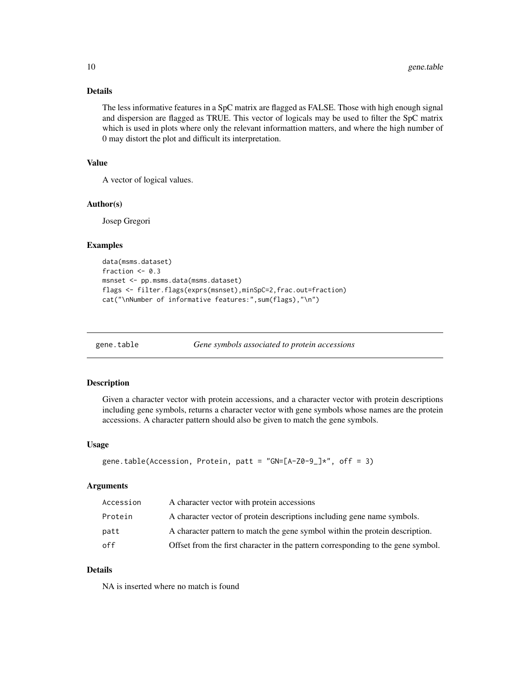# <span id="page-9-0"></span>Details

The less informative features in a SpC matrix are flagged as FALSE. Those with high enough signal and dispersion are flagged as TRUE. This vector of logicals may be used to filter the SpC matrix which is used in plots where only the relevant informattion matters, and where the high number of 0 may distort the plot and difficult its interpretation.

# Value

A vector of logical values.

# Author(s)

Josep Gregori

#### Examples

```
data(msms.dataset)
fraction <-0.3msnset <- pp.msms.data(msms.dataset)
flags <- filter.flags(exprs(msnset),minSpC=2,frac.out=fraction)
cat("\nNumber of informative features:",sum(flags),"\n")
```
gene.table *Gene symbols associated to protein accessions*

#### Description

Given a character vector with protein accessions, and a character vector with protein descriptions including gene symbols, returns a character vector with gene symbols whose names are the protein accessions. A character pattern should also be given to match the gene symbols.

#### Usage

```
gene.table(Accession, Protein, patt = "GN=[A-Z0-9_]*", off = 3)
```
# Arguments

| Accession | A character vector with protein accessions                                       |
|-----------|----------------------------------------------------------------------------------|
| Protein   | A character vector of protein descriptions including gene name symbols.          |
| patt      | A character pattern to match the gene symbol within the protein description.     |
| off       | Offset from the first character in the pattern corresponding to the gene symbol. |

### Details

NA is inserted where no match is found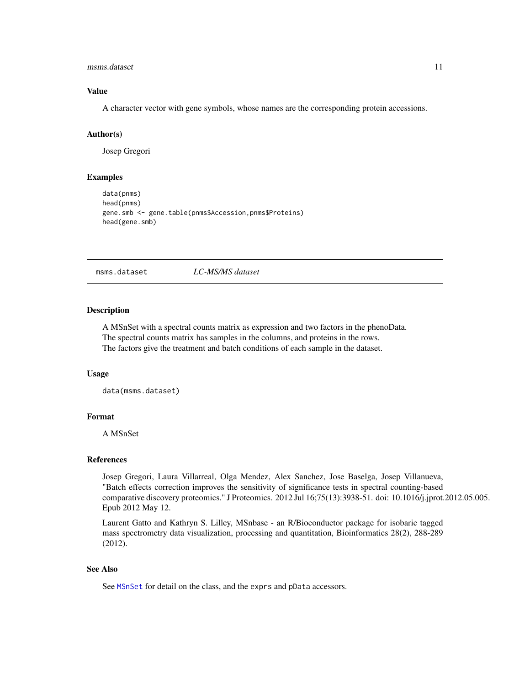#### <span id="page-10-0"></span>msms.dataset 11

# Value

A character vector with gene symbols, whose names are the corresponding protein accessions.

#### Author(s)

Josep Gregori

#### Examples

```
data(pnms)
head(pnms)
gene.smb <- gene.table(pnms$Accession,pnms$Proteins)
head(gene.smb)
```
msms.dataset *LC-MS/MS dataset*

#### Description

A MSnSet with a spectral counts matrix as expression and two factors in the phenoData. The spectral counts matrix has samples in the columns, and proteins in the rows. The factors give the treatment and batch conditions of each sample in the dataset.

#### Usage

```
data(msms.dataset)
```
# Format

A MSnSet

#### References

Josep Gregori, Laura Villarreal, Olga Mendez, Alex Sanchez, Jose Baselga, Josep Villanueva, "Batch effects correction improves the sensitivity of significance tests in spectral counting-based comparative discovery proteomics." J Proteomics. 2012 Jul 16;75(13):3938-51. doi: 10.1016/j.jprot.2012.05.005. Epub 2012 May 12.

Laurent Gatto and Kathryn S. Lilley, MSnbase - an R/Bioconductor package for isobaric tagged mass spectrometry data visualization, processing and quantitation, Bioinformatics 28(2), 288-289 (2012).

#### See Also

See [MSnSet](#page-0-0) for detail on the class, and the exprs and pData accessors.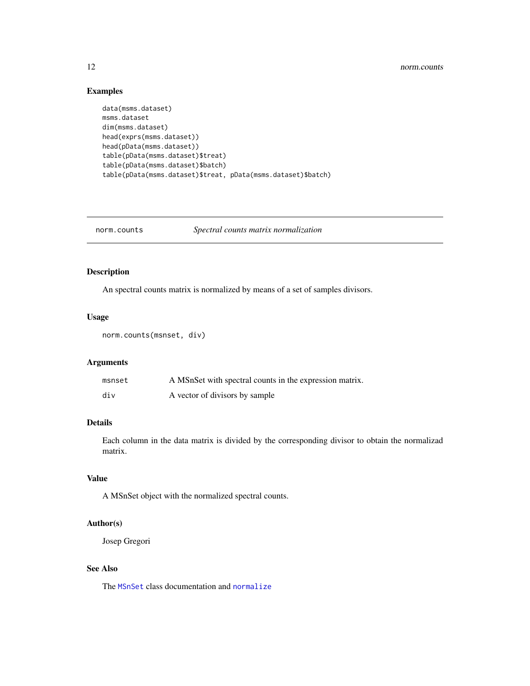# <span id="page-11-0"></span>Examples

```
data(msms.dataset)
msms.dataset
dim(msms.dataset)
head(exprs(msms.dataset))
head(pData(msms.dataset))
table(pData(msms.dataset)$treat)
table(pData(msms.dataset)$batch)
table(pData(msms.dataset)$treat, pData(msms.dataset)$batch)
```
norm.counts *Spectral counts matrix normalization*

# Description

An spectral counts matrix is normalized by means of a set of samples divisors.

# Usage

```
norm.counts(msnset, div)
```
# Arguments

| msnset | A MSnSet with spectral counts in the expression matrix. |
|--------|---------------------------------------------------------|
| div    | A vector of divisors by sample                          |

#### Details

Each column in the data matrix is divided by the corresponding divisor to obtain the normalizad matrix.

# Value

A MSnSet object with the normalized spectral counts.

# Author(s)

Josep Gregori

# See Also

The [MSnSet](#page-0-0) class documentation and [normalize](#page-0-0)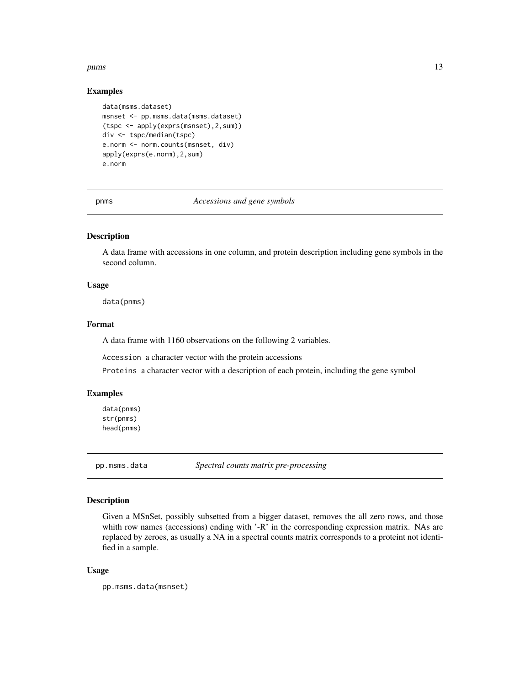#### <span id="page-12-0"></span>pnms and the contract of the contract of the contract of the contract of the contract of the contract of the contract of the contract of the contract of the contract of the contract of the contract of the contract of the c

#### Examples

```
data(msms.dataset)
msnset <- pp.msms.data(msms.dataset)
(tspc <- apply(exprs(msnset),2,sum))
div <- tspc/median(tspc)
e.norm <- norm.counts(msnset, div)
apply(exprs(e.norm),2,sum)
e.norm
```
pnms *Accessions and gene symbols*

# Description

A data frame with accessions in one column, and protein description including gene symbols in the second column.

#### Usage

data(pnms)

#### Format

A data frame with 1160 observations on the following 2 variables.

Accession a character vector with the protein accessions

Proteins a character vector with a description of each protein, including the gene symbol

#### Examples

data(pnms) str(pnms) head(pnms)

pp.msms.data *Spectral counts matrix pre-processing*

# Description

Given a MSnSet, possibly subsetted from a bigger dataset, removes the all zero rows, and those whith row names (accessions) ending with '-R' in the corresponding expression matrix. NAs are replaced by zeroes, as usually a NA in a spectral counts matrix corresponds to a proteint not identified in a sample.

#### Usage

pp.msms.data(msnset)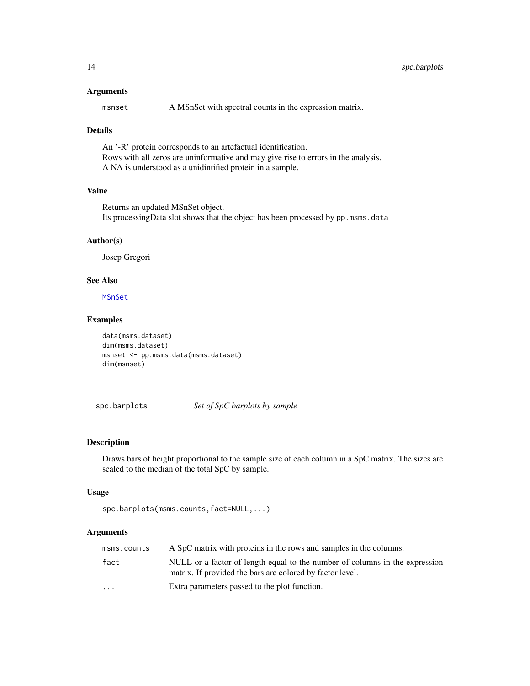#### <span id="page-13-0"></span>Arguments

msnset A MSnSet with spectral counts in the expression matrix.

#### Details

An '-R' protein corresponds to an artefactual identification. Rows with all zeros are uninformative and may give rise to errors in the analysis. A NA is understood as a unidintified protein in a sample.

# Value

Returns an updated MSnSet object. Its processingData slot shows that the object has been processed by pp.msms.data

#### Author(s)

Josep Gregori

# See Also

[MSnSet](#page-0-0)

# Examples

```
data(msms.dataset)
dim(msms.dataset)
msnset <- pp.msms.data(msms.dataset)
dim(msnset)
```
spc.barplots *Set of SpC barplots by sample*

# Description

Draws bars of height proportional to the sample size of each column in a SpC matrix. The sizes are scaled to the median of the total SpC by sample.

#### Usage

```
spc.barplots(msms.counts,fact=NULL,...)
```
#### Arguments

| msms.counts             | A SpC matrix with proteins in the rows and samples in the columns.                                                                       |
|-------------------------|------------------------------------------------------------------------------------------------------------------------------------------|
| fact                    | NULL or a factor of length equal to the number of columns in the expression<br>matrix. If provided the bars are colored by factor level. |
| $\cdot$ $\cdot$ $\cdot$ | Extra parameters passed to the plot function.                                                                                            |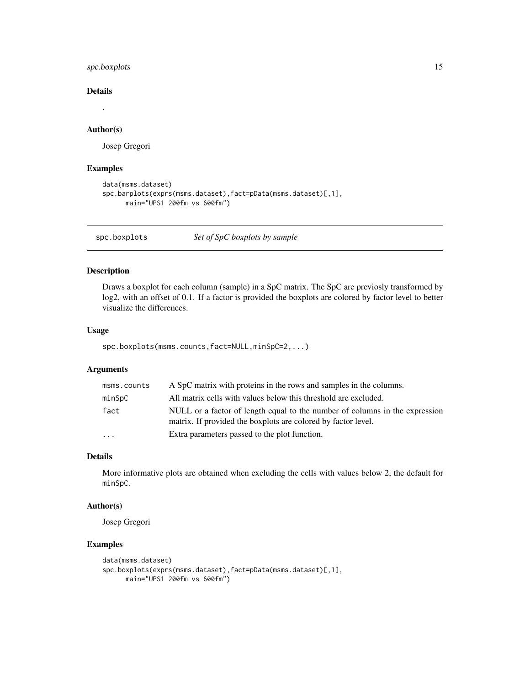<span id="page-14-0"></span>spc.boxplots 15

# Details

# Author(s)

Josep Gregori

#### Examples

```
data(msms.dataset)
spc.barplots(exprs(msms.dataset),fact=pData(msms.dataset)[,1],
     main="UPS1 200fm vs 600fm")
```
spc.boxplots *Set of SpC boxplots by sample*

# Description

Draws a boxplot for each column (sample) in a SpC matrix. The SpC are previosly transformed by log2, with an offset of 0.1. If a factor is provided the boxplots are colored by factor level to better visualize the differences.

#### Usage

spc.boxplots(msms.counts,fact=NULL,minSpC=2,...)

#### Arguments

| msms.counts | A SpC matrix with proteins in the rows and samples in the columns.                                                                           |
|-------------|----------------------------------------------------------------------------------------------------------------------------------------------|
| minSpC      | All matrix cells with values below this threshold are excluded.                                                                              |
| fact        | NULL or a factor of length equal to the number of columns in the expression<br>matrix. If provided the boxplots are colored by factor level. |
| .           | Extra parameters passed to the plot function.                                                                                                |

# Details

More informative plots are obtained when excluding the cells with values below 2, the default for minSpC.

# Author(s)

Josep Gregori

#### Examples

```
data(msms.dataset)
spc.boxplots(exprs(msms.dataset),fact=pData(msms.dataset)[,1],
     main="UPS1 200fm vs 600fm")
```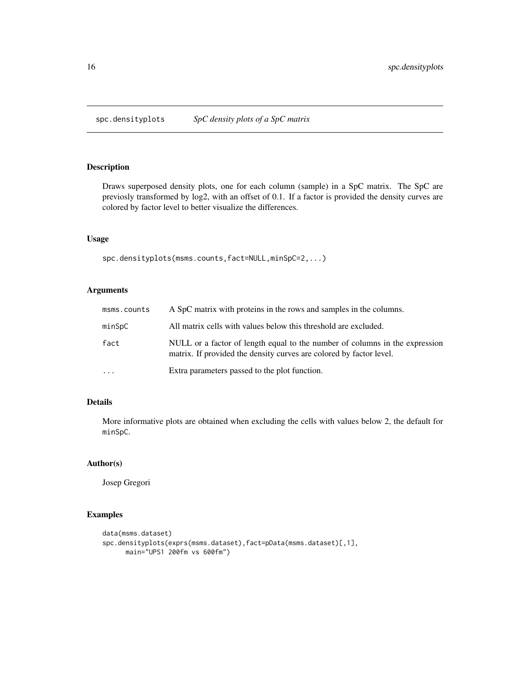<span id="page-15-0"></span>

# Description

Draws superposed density plots, one for each column (sample) in a SpC matrix. The SpC are previosly transformed by log2, with an offset of 0.1. If a factor is provided the density curves are colored by factor level to better visualize the differences.

# Usage

spc.densityplots(msms.counts,fact=NULL,minSpC=2,...)

# Arguments

| msms.counts | A SpC matrix with proteins in the rows and samples in the columns.                                                                                 |
|-------------|----------------------------------------------------------------------------------------------------------------------------------------------------|
| minSpC      | All matrix cells with values below this threshold are excluded.                                                                                    |
| fact        | NULL or a factor of length equal to the number of columns in the expression<br>matrix. If provided the density curves are colored by factor level. |
| $\ddotsc$   | Extra parameters passed to the plot function.                                                                                                      |

#### Details

More informative plots are obtained when excluding the cells with values below 2, the default for minSpC.

#### Author(s)

Josep Gregori

# Examples

```
data(msms.dataset)
spc.densityplots(exprs(msms.dataset),fact=pData(msms.dataset)[,1],
     main="UPS1 200fm vs 600fm")
```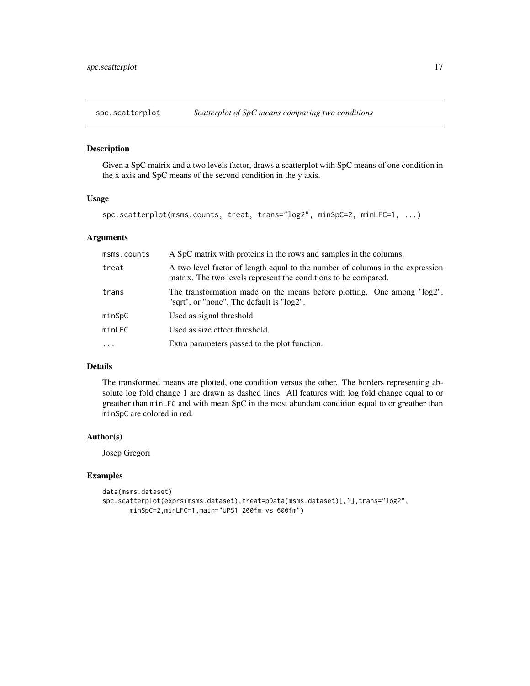<span id="page-16-0"></span>

# Description

Given a SpC matrix and a two levels factor, draws a scatterplot with SpC means of one condition in the x axis and SpC means of the second condition in the y axis.

#### Usage

spc.scatterplot(msms.counts, treat, trans="log2", minSpC=2, minLFC=1, ...)

# Arguments

| msms.counts | A SpC matrix with proteins in the rows and samples in the columns.                                                                               |  |  |
|-------------|--------------------------------------------------------------------------------------------------------------------------------------------------|--|--|
| treat       | A two level factor of length equal to the number of columns in the expression<br>matrix. The two levels represent the conditions to be compared. |  |  |
| trans       | The transformation made on the means before plotting. One among "log2",<br>"sqrt", or "none". The default is "log2".                             |  |  |
| minSpC      | Used as signal threshold.                                                                                                                        |  |  |
| minLFC      | Used as size effect threshold.                                                                                                                   |  |  |
| $\cdot$     | Extra parameters passed to the plot function.                                                                                                    |  |  |

# Details

The transformed means are plotted, one condition versus the other. The borders representing absolute log fold change 1 are drawn as dashed lines. All features with log fold change equal to or greather than minLFC and with mean SpC in the most abundant condition equal to or greather than minSpC are colored in red.

#### Author(s)

Josep Gregori

# Examples

```
data(msms.dataset)
spc.scatterplot(exprs(msms.dataset),treat=pData(msms.dataset)[,1],trans="log2",
      minSpC=2,minLFC=1,main="UPS1 200fm vs 600fm")
```